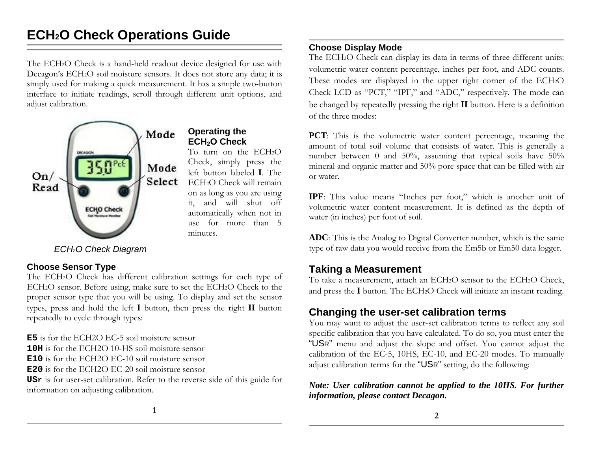# **ECH 2O Check Operations Guide**

The ECH2O Check is a hand-held readout device designed for use with Decagon's ECH<sub>2</sub>O soil moisture sensors. It does not store any data; it is simply used for making a quick measurement. It has a simple two-button interface to initiate readings, scroll through different unit options, and adjust calibration.



**Operating the ECH<sub>2</sub>O Check** 

To turn on the ECH2O Check, simply press the left button labeled **I**. The ECH2O Check will remain on as long as you are using it, and will shut off automatically when not in use for more than 5 minutes.

*ECH2O Check Diagram*

# **Choose Sensor Type**

The ECH2O Check has different calibration settings for each type of ECH2O sensor. Before using, make sure to set the ECH2O Check to the proper sensor type that you will be using. To display and set the sensor types, press and hold the left **I** button, then press the right **II** button repeatedly to cycle through types:

**E5** is for the ECH2O EC-5 soil moisture sensor

**10H** is for the ECH2O 10-HS soil moisture sensor

**E10** is for the ECH2O EC-10 soil moisture sensor

**E20** is for the ECH2O EC-20 soil moisture sensor

**USr** is for user-set calibration. Refer to the reverse side of this guide for information on adjusting calibration.

# **Choose Display Mode**

The ECH<sub>2</sub>O Check can display its data in terms of three different units: volumetric water content percentage, inches per foot, and ADC counts. These modes are displayed in the upper right corner of the ECH2O Check LCD as "PCT," "IPF," and "ADC," respectively. The mode can be changed by repeatedly pressing the right **II** button. Here is a definition of the three modes:

**PCT**: This is the volumetric water content percentage, meaning the amount of total soil volume that consists of water. This is generally a number between 0 and 50%, assuming that typical soils have 50% mineral and organic matter and 50% pore space that can be filled with air or water.

**IPF**: This value means "Inches per foot," which is another unit of volumetric water content measurement. It is defined as the depth of water (in inches) per foot of soil.

**ADC**: This is the Analog to Digital Converter number, which is the same type of raw data you would receive from the Em5b or Em50 data logger.

# **Taking a Measurement**

To take a measurement, attach an ECH2O sensor to the ECH2O Check, and press the **I** button. The ECH2O Check will initiate an instant reading.

# **Changing the user-set calibration terms**

You may want to adjust the user-set calibration terms to reflect any soil specific calibration that you have calculated. To do so, you must enter the "US <sup>R</sup>" menu and adjust the slope and offset. You cannot adjust the calibration of the EC-5, 10HS, EC-10, and EC-20 modes. To manually adjust calibration terms for the "USR" setting, do the following:

*Note: User calibration cannot be applied to the 10HS. For further information, please contact Decagon.*